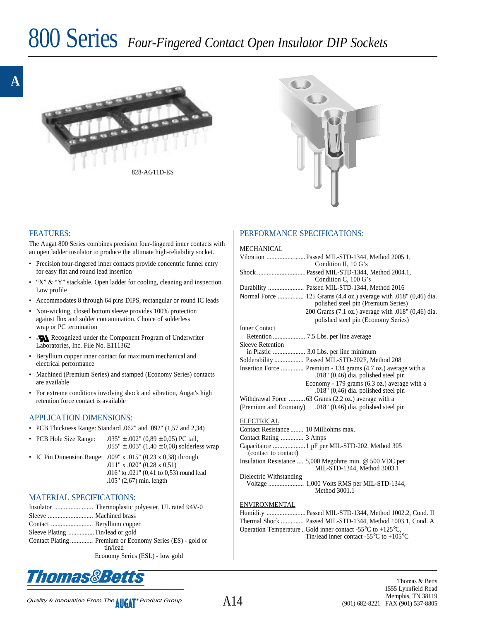# 800 Series *Four-Fingered Contact Open Insulator DIP Sockets*





### FEATURES:

The Augat 800 Series combines precision four-fingered inner contacts with an open ladder insulator to produce the ultimate high-reliability socket.

- Precision four-fingered inner contacts provide concentric funnel entry for easy flat and round lead insertion
- "X" & "Y" stackable. Open ladder for cooling, cleaning and inspection. Low profile
- Accommodates 8 through 64 pins DIPS, rectangular or round IC leads
- Non-wicking, closed bottom sleeve provides 100% protection against flux and solder contamination. Choice of solderless wrap or PC termination
- ® Recognized under the Component Program of Underwriter Laboratories, Inc. File No. E111362
- Beryllium copper inner contact for maximum mechanical and electrical performance
- Machined (Premium Series) and stamped (Economy Series) contacts are available
- For extreme conditions involving shock and vibration, Augat's high retention force contact is available

#### APPLICATION DIMENSIONS:

- PCB Thickness Range: Standard .062" and .092" (1,57 and 2,34)
- PCB Hole Size Range:  $.035" \pm .002" (0.89 \pm 0.05)$  PC tail,
	- .055"  $\pm$  .003" (1,40  $\pm$  0,08) solderless wrap
- IC Pin Dimension Range: .009" x .015" (0,23 x 0,38) through .011" x .020" (0,28 x 0,51) .016" to .021" (0,41 to 0,53) round lead .105" (2,67) min. length

## MATERIAL SPECIFICATIONS:

| Contact Plating  Premium or Economy Series (ES) - gold or<br>tin/lead |
|-----------------------------------------------------------------------|
| Economy Series (ESL) - low gold                                       |



## PERFORMANCE SPECIFICATIONS:

#### **MECHANICAL**

|                                       | Vibration  Passed MIL-STD-1344, Method 2005.1,<br>Condition II, 10 G's                                   |
|---------------------------------------|----------------------------------------------------------------------------------------------------------|
|                                       | Shock  Passed MIL-STD-1344, Method 2004.1,<br>Condition C, 100 G's                                       |
|                                       | Durability  Passed MIL-STD-1344, Method 2016                                                             |
|                                       | Normal Force  125 Grams (4.4 oz.) average with .018" (0.46) dia.<br>polished steel pin (Premium Series)  |
|                                       | 200 Grams (7.1 oz.) average with .018" (0,46) dia.<br>polished steel pin (Economy Series)                |
| <b>Inner Contact</b>                  |                                                                                                          |
|                                       |                                                                                                          |
| <b>Sleeve Retention</b>               |                                                                                                          |
|                                       |                                                                                                          |
|                                       | Solderability  Passed MIL-STD-202F, Method 208                                                           |
|                                       | Insertion Force  Premium - 134 grams (4.7 oz.) average with a<br>$.018$ " (0,46) dia. polished steel pin |
|                                       | Economy - 179 grams (6.3 oz.) average with a<br>.018" $(0,46)$ dia. polished steel pin                   |
|                                       | Withdrawal Force  63 Grams (2.2 oz.) average with a                                                      |
|                                       | (Premium and Economy) .018" (0,46) dia. polished steel pin                                               |
| ELECTRICAL                            |                                                                                                          |
| Contact Resistance  10 Milliohms max. |                                                                                                          |
| Contact Rating  3 Amps                |                                                                                                          |
| (contact to contact)                  | Capacitance  1 pF per MIL-STD-202, Method 305                                                            |
|                                       | Insulation Resistance  5,000 Megohms min. @ 500 VDC per<br>MIL-STD-1344, Method 3003.1                   |
| Dielectric Withstanding               |                                                                                                          |
|                                       | Method 3001.1                                                                                            |
| ENVIRONMENTAL                         |                                                                                                          |
|                                       | Humidity  Passed MIL-STD-1344, Method 1002.2, Cond. II                                                   |
|                                       | Thermal Shock  Passed MIL-STD-1344, Method 1003.1, Cond. A                                               |
|                                       | Operation Temperature . Gold inner contact -55 $\rm{^{\circ}C}$ to +125 $\rm{^{\circ}C}$ ,               |

Tin/lead inner contact -55°C to +105°C